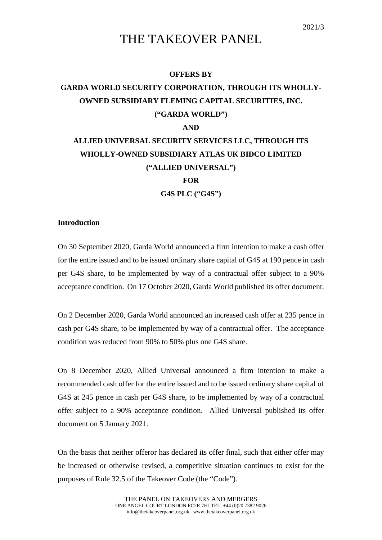## THE TAKEOVER PANEL

#### **OFFERS BY**

### **GARDA WORLD SECURITY CORPORATION, THROUGH ITS WHOLLY-OWNED SUBSIDIARY FLEMING CAPITAL SECURITIES, INC. ("GARDA WORLD")**

### **AND**

# **ALLIED UNIVERSAL SECURITY SERVICES LLC, THROUGH ITS WHOLLY-OWNED SUBSIDIARY ATLAS UK BIDCO LIMITED ("ALLIED UNIVERSAL")**

**FOR**

**G4S PLC ("G4S")**

#### **Introduction**

On 30 September 2020, Garda World announced a firm intention to make a cash offer for the entire issued and to be issued ordinary share capital of G4S at 190 pence in cash per G4S share, to be implemented by way of a contractual offer subject to a 90% acceptance condition. On 17 October 2020, Garda World published its offer document.

On 2 December 2020, Garda World announced an increased cash offer at 235 pence in cash per G4S share, to be implemented by way of a contractual offer. The acceptance condition was reduced from 90% to 50% plus one G4S share.

On 8 December 2020, Allied Universal announced a firm intention to make a recommended cash offer for the entire issued and to be issued ordinary share capital of G4S at 245 pence in cash per G4S share, to be implemented by way of a contractual offer subject to a 90% acceptance condition. Allied Universal published its offer document on 5 January 2021.

On the basis that neither offeror has declared its offer final, such that either offer may be increased or otherwise revised, a competitive situation continues to exist for the purposes of Rule 32.5 of the Takeover Code (the "Code").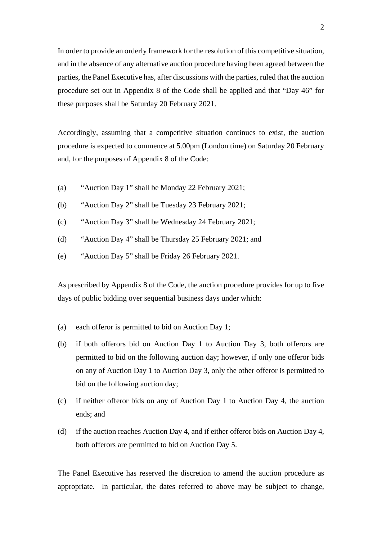In order to provide an orderly framework for the resolution of this competitive situation, and in the absence of any alternative auction procedure having been agreed between the parties, the Panel Executive has, after discussions with the parties, ruled that the auction procedure set out in Appendix 8 of the Code shall be applied and that "Day 46" for these purposes shall be Saturday 20 February 2021.

Accordingly, assuming that a competitive situation continues to exist, the auction procedure is expected to commence at 5.00pm (London time) on Saturday 20 February and, for the purposes of Appendix 8 of the Code:

- (a) "Auction Day 1" shall be Monday 22 February 2021;
- (b) "Auction Day 2" shall be Tuesday 23 February 2021;
- (c) "Auction Day 3" shall be Wednesday 24 February 2021;
- (d) "Auction Day 4" shall be Thursday 25 February 2021; and
- (e) "Auction Day 5" shall be Friday 26 February 2021.

As prescribed by Appendix 8 of the Code, the auction procedure provides for up to five days of public bidding over sequential business days under which:

- (a) each offeror is permitted to bid on Auction Day 1;
- (b) if both offerors bid on Auction Day 1 to Auction Day 3, both offerors are permitted to bid on the following auction day; however, if only one offeror bids on any of Auction Day 1 to Auction Day 3, only the other offeror is permitted to bid on the following auction day;
- (c) if neither offeror bids on any of Auction Day 1 to Auction Day 4, the auction ends; and
- (d) if the auction reaches Auction Day 4, and if either offeror bids on Auction Day 4, both offerors are permitted to bid on Auction Day 5.

The Panel Executive has reserved the discretion to amend the auction procedure as appropriate. In particular, the dates referred to above may be subject to change,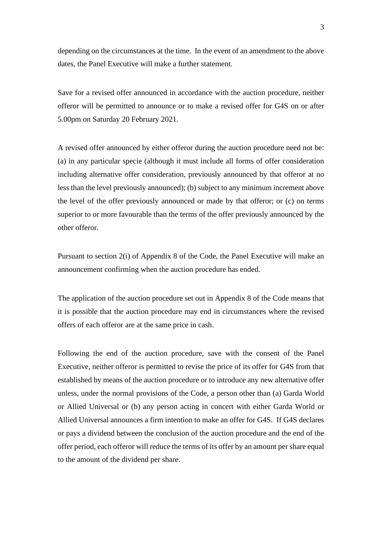depending on the circumstances at the time. In the event of an amendment to the above dates, the Panel Executive will make a further statement.

Save for a revised offer announced in accordance with the auction procedure, neither offeror will be permitted to announce or to make a revised offer for G4S on or after 5.00pm on Saturday 20 February 2021.

A revised offer announced by either offeror during the auction procedure need not be: (a) in any particular specie (although it must include all forms of offer consideration including alternative offer consideration, previously announced by that offeror at no less than the level previously announced); (b) subject to any minimum increment above the level of the offer previously announced or made by that offeror; or (c) on terms superior to or more favourable than the terms of the offer previously announced by the other offeror.

Pursuant to section 2(i) of Appendix 8 of the Code, the Panel Executive will make an announcement confirming when the auction procedure has ended.

The application of the auction procedure set out in Appendix 8 of the Code means that it is possible that the auction procedure may end in circumstances where the revised offers of each offeror are at the same price in cash.

Following the end of the auction procedure, save with the consent of the Panel Executive, neither offeror is permitted to revise the price of its offer for G4S from that established by means of the auction procedure or to introduce any new alternative offer unless, under the normal provisions of the Code, a person other than (a) Garda World or Allied Universal or (b) any person acting in concert with either Garda World or Allied Universal announces a firm intention to make an offer for G4S. If G4S declares or pays a dividend between the conclusion of the auction procedure and the end of the offer period, each offeror will reduce the terms of its offer by an amount per share equal to the amount of the dividend per share.